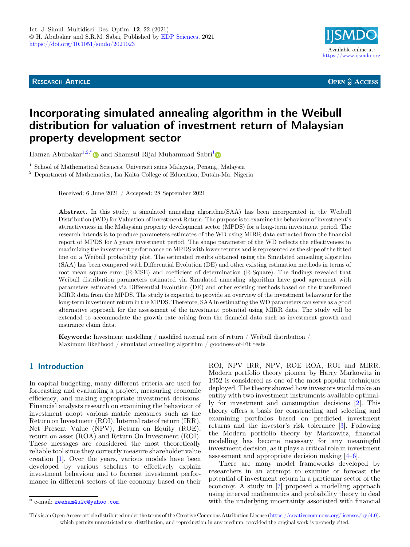**RESEARCH ARTICLE** 



**OPEN A ACCESS** 

# Incorporating simulated annealing algorithm in the Weibull distribution for valuation of investment return of Malaysian property development sector

Hamza Abubakar<sup>[1](https://orcid.org/0000-0002-0824-4283),2,\*</sup> $\bullet$  and Shamsul Rijal Muhammad Sabri<sup>1</sup> $\bullet$ 

 $^{\rm 1}$  School of Mathematical Sciences, Universiti sains Malaysia, Penang, Malaysia $^{\rm 2}$  Department of Mathematics, Isa Kaita College of Education, Dutsin-Ma, Nigeria

Received: 6 June 2021 / Accepted: 28 September 2021

Abstract. In this study, a simulated annealing algorithm(SAA) has been incorporated in the Weibull Distribution (WD) for Valuation of Investment Return. The purpose is to examine the behaviour of investment's attractiveness in the Malaysian property development sector (MPDS) for a long-term investment period. The research intends is to produce parameters estimates of the WD using MIRR data extracted from the financial report of MPDS for 5 years investment period. The shape parameter of the WD reflects the effectiveness in maximizing the investment performance on MPDS with lower returns and is represented as the slope of the fitted line on a Weibull probability plot. The estimated results obtained using the Simulated annealing algorithm (SAA) has been compared with Differential Evolution (DE) and other existing estimation methods in terms of root mean square error (R-MSE) and coefficient of determination (R-Square). The findings revealed that Weibull distribution parameters estimated via Simulated annealing algorithm have good agreement with parameters estimated via Differential Evolution (DE) and other existing methods based on the transformed MIRR data from the MPDS. The study is expected to provide an overview of the investment behaviour for the long-term investment return in the MPDS. Therefore, SAA in estimating the WD parameters can serve as a good alternative approach for the assessment of the investment potential using MIRR data. The study will be extended to accommodate the growth rate arising from the financial data such as investment growth and insurance claim data.

Keywords: Investment modelling / modified internal rate of return / Weibull distribution / Maximum likelihood / simulated annealing algorithm / goodness-of-Fit tests

# 1 Introduction

In capital budgeting, many different criteria are used for forecasting and evaluating a project, measuring economic efficiency, and making appropriate investment decisions. Financial analysts research on examining the behaviour of investment adopt various matric measures such as the Return on Investment (ROI), Internal rate of return (IRR), Net Present Value (NPV), Return on Equity (ROE), return on asset (ROA) and Return On Investment (ROI). These messages are considered the most theoretically reliable tool since they correctly measure shareholder value creation [\[1](#page-7-0)]. Over the years, various models have been developed by various scholars to effectively explain investment behaviour and to forecast investment performance in different sectors of the economy based on their

ROI, NPV IRR, NPV, ROE ROA, ROI and MIRR. Modern portfolio theory pioneer by Harry Markowitz in 1952 is considered as one of the most popular techniques deployed. The theory showed how investors would make an entity with two investment instruments available optimally for investment and consumption decisions [\[2](#page-7-0)]. This theory offers a basis for constructing and selecting and examining portfolios based on predicted investment returns and the investor's risk tolerance [[3\]](#page-7-0). Following the Modern portfolio theory by Markowitz, financial modelling has become necessary for any meaningful investment decision, as it plays a critical role in investment assessment and appropriate decision making [\[4](#page-7-0)–[6](#page-7-0)].

There are many model frameworks developed by researchers in an attempt to examine or forecast the potential of investment return in a particular sector of the economy. A study in [[7\]](#page-7-0) proposed a modelling approach using interval mathematics and probability theory to deal \* e-mail: [zeeham4u2c@yahoo.com](mailto:zeeham4u2c@yahoo.com) with the underlying uncertainty associated with financial

This is an Open Access article distributed under the terms of the Creative Commons Attribution License [\(https://creativecommons.org/licenses/by/4.0\)](https://creativecommons.org/licenses/by/4.0), which permits unrestricted use, distribution, and reproduction in any medium, provided the original work is properly cited.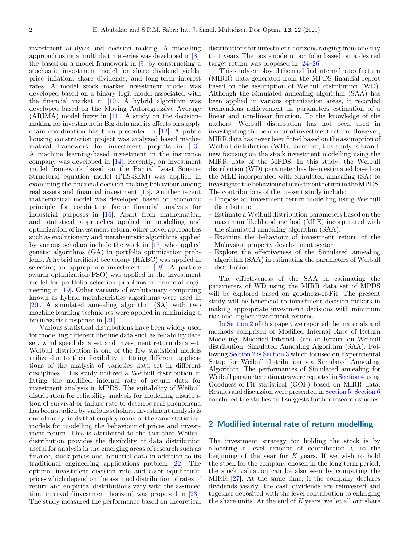investment analysis and decision making. A modelling approach using a multiple time series was developed in [\[8](#page-7-0)], the based on a model framework in [\[9](#page-7-0)] by constructing a stochastic investment model for share dividend yields, price inflation, share dividends, and long-term interest rates. A model stock market investment model was developed based on a binary logit model associated with the financial market in [\[10](#page-7-0)]. A hybrid algorithm was developed based on the Moving Autoregressive Average (ARIMA) model fuzzy in [[11\]](#page-7-0). A study on the decisionmaking for investment in Big data and its effects on supply chain coordination has been presented in [[12\]](#page-7-0). A public housing construction project was analyzed based mathematical framework for investment projects in [\[13](#page-7-0)]. A machine learning-based investment in the insurance company was developed in [\[14](#page-7-0)]. Recently, an investment model framework based on the Partial Least Square-Structural equation model (PLS-SEM) was applied in examining the financial decision-making behaviour among real assets and financial investment [\[15](#page-7-0)]. Another recent mathematical model was developed based on economic principle for conducting factor financial analysis for industrial purposes in [\[16](#page-7-0)]. Apart from mathematical and statistical approaches applied in modelling and optimization of investment return, other novel approaches such as evolutionary and metaheuristic algorithms applied by various scholars include the work in [[17](#page-7-0)] who applied genetic algorithms (GA) in portfolio optimization problems. A hybrid artificial bee colony (HABC) was applied in selecting an appropriate investment in [[18\]](#page-7-0). A particle swarm optimization(PSO) was applied in the investment model for portfolio selection problems in financial engineering in [[19\]](#page-7-0). Other variants of evolutionary computing known as hybrid metaheuristics algorithms were used in [\[20](#page-7-0)]. A simulated annealing algorithm (SA) with two machine learning techniques were applied in minimizing a business risk response in [[21\]](#page-7-0).

Various statistical distributions have been widely used for modelling different lifetime data such as reliability data set, wind speed data set and investment return data set. Weibull distribution is one of the few statistical models utilize due to their flexibility in fitting different applications of the analysis of varieties data set in different disciplines. This study utilized a Weibull distribution in fitting the modified internal rate of return data for investment analysis in MPDS. The suitability of Weibull distribution for reliability analysis for modelling distribution of survival or failure rate to describe real phenomena has been studied by various scholars. Investment analysis is one of many fields that employ many of the same statistical models for modelling the behaviour of prices and investment return. This is attributed to the fact that Weibull distribution provides the flexibility of data distribution useful for analysis in the emerging areas of research such as finance, stock prices and actuarial data in addition to its traditional engineering applications problem [\[22\]](#page-7-0). The optimal investment decision rule and asset equilibrium prices which depend on the assumed distribution of rates of return and empirical distributions vary with the assumed time interval (investment horizon) was proposed in [\[23](#page-7-0)]. The study measured the performance based on theoretical

distributions for investment horizons ranging from one day to 4 years The post-modern portfolio based on a desired target return was proposed in [\[24](#page-8-0)–[26\]](#page-8-0).

This study employed the modified internal rate of return (MIRR) data generated from the MPDS financial report based on the assumption of Weibull distribution (WD). Although the Simulated annealing algorithm (SAA) has been applied in various optimization areas, it recorded tremendous achievement in parameters estimation of a linear and non-linear function. To the knowledge of the authors, Weibull distribution has not been used in investigating the behaviour of investment return. However, MIRR data has never been fitted based on the assumption of Weibull distribution (WD), therefore, this study is brandnew focusing on the stock investment modelling using the MIRR data of the MPDS. In this study, the Weibull distribution (WD) parameter has been estimated based on the MLE incorporated with Simulated annealing (SA) to investigate the behaviour of investment return in theMPDS. The contributions of the present study include;

- Propose an investment return modelling using Weibull distribution;
- Estimate a Weibull distribution parameters based on the maximum likelihood method (MLE) incorporated with the simulated annealing algorithm (SAA);
- Examine the behaviour of investment return of the Malaysian property development sector;
- Explore the effectiveness of the Simulated annealing algorithm (SAA) in estimating the parameters of Weibull distribution.

The effectiveness of the SAA in estimating the parameters of WD using the MIRR data set of MPDS will be explored based on goodness-of-Fit. The present study will be beneficial to investment decision-makers in making appropriate investment decisions with minimum risk and higher investment returns.

In Section 2 of this paper, we reported the materials and methods comprised of Modified Internal Rate of Return Modelling, Modified Internal Rate of Return on Weibull distribution, Simulated Annealing Algorithm (SAA). Following Section 2 is [Section 3](#page-2-0) which focused on Experimental Setup for Weibull distribution via Simulated Annealing Algorithm. The performances of Simulated annealing for Weibull parameter estimates were reported in [Section 4](#page-3-0) using Goodness-of-Fit statistical (GOF) based on MIRR data. Results and discussion were presented in [Section 5](#page-4-0). [Section 6](#page-4-0) concluded the studies and suggests further research studies.

### 2 Modified internal rate of return modelling

The investment strategy for holding the stock is by allocating a level amount of contribution C at the beginning of the year for  $K$  years. If we wish to hold the stock for the company chosen in the long term period, the stock valuation can be also seen by computing the MIRR [\[27](#page-8-0)]. At the same time, if the company declares dividends yearly, the cash dividends are reinvested and together deposited with the level contribution to enlarging the share units. At the end of K years, we let all our share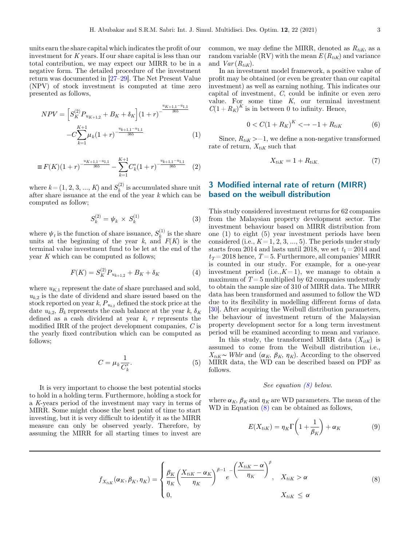<span id="page-2-0"></span>units earn the share capital which indicates the profit of our investment for K years. If our share capital is less than our total contribution, we may expect our MIRR to be in a negative form. The detailed procedure of the investment return was documented in [[27](#page-8-0)–[29\]](#page-8-0). The Net Present Value (NPV) of stock investment is computed at time zero presented as follows,

$$
NPV = \left[S_K^{(2)}P_{u_{K+1,2}} + B_K + \delta_K\right] (1+r)^{-\frac{u_{K+1,1} - u_{1,1}}{365}} - C \sum_{k=1}^{K+1} \mu_k (1+r)^{-\frac{u_{k+1,1} - u_{1,1}}{365}} \tag{1}
$$

$$
\equiv F(K)(1+r)^{-\frac{u_{K+1,1}-u_{1,1}}{365}} - \sum_{k=1}^{K+1} C_k^*(1+r)^{-\frac{u_{k+1,1}-u_{1,1}}{365}} \quad (2)
$$

where  $k = (1, 2, 3, ..., K)$  and  $S_k^{(2)}$  is accumulated share unit after share issuance at the end of the year k which can be after share issuance at the end of the year  $k$  which can be computed as follow;

$$
S_k^{(2)} = \psi_k \times S_k^{(1)} \tag{3}
$$

where  $\psi_t$  is the function of share issuance,  $S_k^{(1)}$  is the share units at the beginning of the year k, and  $F(K)$  is the terminal value investment fund to be let at the end of the year K which can be computed as follows;

$$
F(K) = SK(2) Puk+1,2 + BK + \deltaK
$$
 (4)

where  $u_{K,1}$  represent the date of share purchased and sold,  $u_{k,2}$  is the date of dividend and share issued based on the stock reported on year k,  $P_{u_{k,2}}$  defined the stock price at the date  $u_{k,2}$ ,  $B_k$  represents the cash balance at the year  $k, \delta_K$ defined as a cash dividend at year  $k$ , r represents the modified IRR of the project development companies, C is the yearly fixed contribution which can be computed as follows;

$$
C = \mu_k \frac{1}{C_k^*}.\tag{5}
$$

It is very important to choose the best potential stocks to hold in a holding term. Furthermore, holding a stock for a K-years period of the investment may vary in terms of MIRR. Some might choose the best point of time to start investing, but it is very difficult to identify it as the MIRR measure can only be observed yearly. Therefore, by assuming the MIRR for all starting times to invest are

common, we may define the MIRR, denoted as  $R_{tik}$ , as a random variable (RV) with the mean  $E(R_{tik})$  and variance and  $Var(R_{tik})$ .

In an investment model framework, a positive value of profit may be obtained (or even be greater than our capital investment) as well as earning nothing. This indicates our capital of investment, C, could be infinite or even zero value. For some time K, our terminal investment  $C(1 + R_K)^K$  is in between 0 to infinity. Hence,

$$
0 < C(1 + R_K)^K < \to -1 + R_{tiK} \tag{6}
$$

Since,  $R_{tik}$  >−1, we define a non-negative transformed rate of return,  $X_{tik}$  such that

$$
X_{tiK} = 1 + R_{tiK}.\tag{7}
$$

# 3 Modified internal rate of return (MIRR) based on the weibull distribution

This study considered investment returns for 62 companies from the Malaysian property development sector. The investment behaviour based on MIRR distribution from one (1) to eight (5) year investment periods have been considered (i.e.,  $K = 1, 2, 3, ..., 5$ ). The periods under study starts from 2014 and lasts until 2018, we set  $t_1 = 2014$  and  $t_T = 2018$  hence,  $T = 5$ . Furthermore, all companies' MIRR is counted in our study. For example, for a one-year investment period (i.e., $K=1$ ), we manage to obtain a maximum of  $T = 5$  multiplied by 62 companies understudy to obtain the sample size of 310 of MIRR data. The MIRR data has been transformed and assumed to follow the WD due to its flexibility in modelling different forms of data [\[30](#page-8-0)]. After acquiring the Weibull distribution parameters, the behaviour of investment return of the Malaysian property development sector for a long term investment period will be examined according to mean and variance.

In this study, the transformed MIRR data  $(X_{itK})$  is assumed to come from the Weibull distribution i.e.,  $X_{tik}$ ∼ Wblr and  $(\alpha_K, \beta_K, \eta_K)$ . According to the observed MIRR data, the WD can be described based on PDF as follows.

#### See equation (8) below.

where  $\alpha_K$ ,  $\beta_K$  and  $\eta_K$  are WD parameters. The mean of the WD in Equation (8) can be obtained as follows,

$$
E(X_{tik}) = \eta_K \Gamma\left(1 + \frac{1}{\beta_K}\right) + \alpha_K \tag{9}
$$

$$
f_{X_{tik}}(\alpha_K, \beta_K, \eta_K) = \begin{cases} \frac{\beta_K}{\eta_K} \left( \frac{X_{tik} - \alpha_K}{\eta_K} \right)^{\beta - 1} e^{-\left( \frac{X_{tik} - \alpha}{\eta_K} \right)^{\beta}}, & X_{tik} > \alpha \\ 0, & X_{tik} \le \alpha \end{cases}
$$
(8)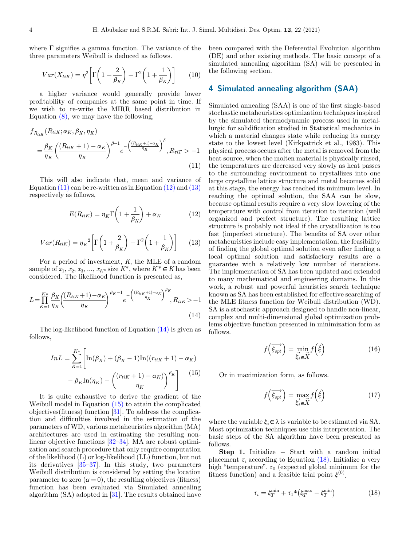<span id="page-3-0"></span>where  $\Gamma$  signifies a gamma function. The variance of the three parameters Weibull is deduced as follows.

$$
Var(X_{tik}) = \eta^2 \left[ \Gamma \left( 1 + \frac{2}{\beta_K} \right) - \Gamma^2 \left( 1 + \frac{1}{\beta_K} \right) \right] \tag{10}
$$

a higher variance would generally provide lower profitability of companies at the same point in time. If we wish to re-write the MIRR based distribution in Equation  $(8)$ , we may have the following,

$$
f_{R_{tik}}(R_{tik}; \alpha_K, \beta_K, \eta_K)
$$
  
=  $\frac{\beta_K}{\eta_K} \left( \frac{(R_{tik} + 1) - \alpha_K}{\eta_K} \right)^{\beta - 1} e^{-\left( \frac{(R_{tik} + 1) - \alpha_K}{\eta_K} \right)^{\beta}}, R_{\tau iT} > -1$   
(11)

This will also indicate that, mean and variance of Equation  $(11)$  can be re-written as in Equation  $(12)$  and  $(13)$ respectively as follows,

$$
E(R_{tik}) = \eta_K \Gamma\left(1 + \frac{1}{\beta_K}\right) + \alpha_K \tag{12}
$$

$$
Var(R_{tiK}) = \eta_K{}^2 \left[ \Gamma \left( 1 + \frac{2}{\beta_K} \right) - \Gamma^2 \left( 1 + \frac{1}{\beta_K} \right) \right] \tag{13}
$$

For a period of investment, K, the MLE of a random sample of  $x_1, x_2, x_3, ..., x_{K^*}$  size  $K^*$ , where  $K^* \in K$  has been considered. The likelihood function is presented as,

$$
L = \prod_{K=1}^{K*} \frac{\beta_K}{\eta_K} \left( \frac{(R_{tiK} + 1) - \alpha_K}{\eta_K} \right)^{\beta_K - 1} e^{-\left( \frac{(R_{tiK} + 1) - \alpha_K}{\eta_K} \right)^{\beta_K}, R_{tiK} > -1}
$$
(14)

The log-likelihood function of Equation (14) is given as follows,

$$
InL = \sum_{K=1}^{K*} \left[ \text{In}(\beta_K) + (\beta_K - 1)\text{In}((r_{tiK} + 1) - \alpha_K) - \beta_K \text{In}(\eta_K) - \left(\frac{(r_{tiK} + 1) - \alpha_K}{\eta_K}\right)^{\beta_K} \right] \tag{15}
$$

It is quite exhaustive to derive the gradient of the Weibull model in Equation (15) to attain the complicated objectives(fitness) function [[31\]](#page-8-0). To address the complication and difficulties involved in the estimation of the parameters of WD, various metaheuristics algorithm (MA) architectures are used in estimating the resulting nonlinear objective functions [\[32](#page-8-0)–[34](#page-8-0)]. MA are robust optimization and search procedure that only require computation of the likelihood (L) or log-likelihood (LL) function, but not its derivatives [[35](#page-8-0)–[37\]](#page-8-0). In this study, two parameters Weibull distribution is considered by setting the location parameter to zero  $(\alpha = 0)$ , the resulting objectives (fitness) function has been evaluated via Simulated annealing algorithm (SA) adopted in [\[31](#page-8-0)]. The results obtained have been compared with the Deferential Evolution algorithm (DE) and other existing methods. The basic concept of a simulated annealing algorithm (SA) will be presented in the following section.

#### 4 Simulated annealing algorithm (SAA)

Simulated annealing (SAA) is one of the first single-based stochastic metaheuristics optimization techniques inspired by the simulated thermodynamic process used in metallurgic for solidification studied in Statistical mechanics in which a material changes state while reducing its energy state to the lowest level (Kirkpatrick et al., 1983). This physical process occurs after the metal is removed from the heat source, when the molten material is physically rinsed, the temperatures are decreased very slowly as heat passes to the surrounding environment to crystallizes into one large crystalline lattice structure and metal becomes solid at this stage, the energy has reached its minimum level. In reaching the optimal solution, the SAA can be slow, because optimal results require a very slow lowering of the temperature with control from iteration to iteration (well organized and perfect structure). The resulting lattice structure is probably not ideal if the crystallization is too fast (imperfect structure). The benefits of SA over other metaheuristics include easy implementation, the feasibility of finding the global optimal solution even after finding a local optimal solution and satisfactory results are a guarantee with a relatively low number of iterations. The implementation of SA has been updated and extended to many mathematical and engineering domains. In this work, a robust and powerful heuristics search technique known as SA has been established for effective searching of the MLE fitness function for Weibull distribution (WD). SA is a stochastic approach designed to handle non-linear, complex and multi-dimensional global optimization problems objective function presented in minimization form as follows.

$$
f\left(\overrightarrow{\xi_{opt}}\right) = \min_{\vec{\xi}_i \in \vec{X}} f\left(\vec{\xi}\right) \tag{16}
$$

Or in maximization form, as follows.

$$
f\left(\overrightarrow{\xi_{opt}}\right) = \max_{\vec{\xi}_i \in \vec{X}} f\left(\vec{\xi}\right) \tag{17}
$$

where the variable  $\xi_i \in \lambda$  is variable to be estimated via SA. Most optimization techniques use this interpretation. The basic steps of the SA algorithm have been presented as follows.

**Step 1.** Initialize  $-$  Start with a random initial placement  $\tau_i$  according to Equation (18). Initialize a very high "temperature".  $\tau_0$  (expected global minimum for the fitness function) and a feasible trial point  $\xi^{(0)}$ .

$$
\tau_i = \xi_T^{\min} + \tau_1^*(\xi_T^{\max} - \xi_T^{\min}) \tag{18}
$$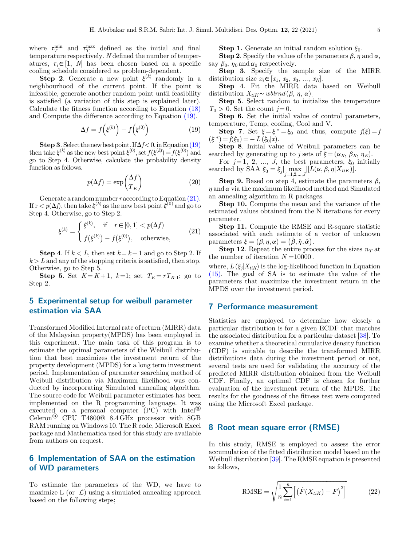<span id="page-4-0"></span>where  $\tau_T^{\text{min}}$  and  $\tau_T^{\text{max}}$  defined as the initial and final<br>temperature respectively Ndefined the number of tempertemperature respectively. N defined the number of temperatures,  $\tau_i \in [1, N]$  has been chosen based on a specific cooling schedule considered as problem-dependent.

**Step 2.** Generate a new point  $\xi^{(k)}$  randomly in a neighbourhood of the current point. If the point is infeasible, generate another random point until feasibility is satisfied (a variation of this step is explained later). Calculate the fitness function according to Equation [\(18\)](#page-3-0) and Compute the difference according to Equation (19).

$$
\Delta f = f\left(\xi^{(k)}\right) - f\left(\xi^{(0)}\right) \tag{19}
$$

**Step 3.** Select the new best point. If  $\Delta f < 0$ , in Equation (19) then take  $\xi^{(k)}$  as the new best point  $\xi^{(0)}$ , set  $f(\xi^{(k)}) = f(\xi^{(0)})$  and go to Step 4. Otherwise, calculate the probability density function as follows.

$$
p(\Delta f) = \exp\left(\frac{\Delta f}{T_K}\right) \tag{20}
$$

Generate a random number r according to Equation  $(21)$ . If  $r < p(\Delta f)$ , then take  $\xi^{(k)}$  as the new best point  $\xi^{(0)}$  and go to Step 4. Otherwise, go to Step 2.

$$
\xi^{(k)} = \begin{cases} \xi^{(k)}, & \text{if } r \in [0, 1] < p(\Delta f) \\ f(\xi^{(k)}) - f(\xi^{(0)}), & \text{otherwise,} \end{cases} \tag{21}
$$

**Step 4.** If  $k < L$ , then set  $k = k + 1$  and go to Step 2. If  $k > L$  and any of the stopping criteria is satisfied, then stop. Otherwise, go to Step 5.

**Step 5.** Set  $K = K + 1$ ,  $k = 1$ ; set  $T_K = rT_{K-1}$ ; go to Step 2.

## 5 Experimental setup for weibull parameter estimation via SAA

Transformed Modified Internal rate of return (MIRR) data of the Malaysian property(MPDS) has been employed in this experiment. The main task of this program is to estimate the optimal parameters of the Weibull distribution that best maximizes the investment return of the property development (MPDS) for a long term investment period. Implementation of parameter searching method of Weibull distribution via Maximum likelihood was conducted by incorporating Simulated annealing algorithm. The source code for Weibull parameter estimates has been implemented on the R programming language. It was executed on a personal computer (PC) with Intel® Celeron® CPU T4800@ 8.4 GHz processor with 8GB RAM running on Windows 10. The R code, Microsoft Excel package and Mathematica used for this study are available from authors on request.

### 6 Implementation of SAA on the estimation of WD parameters

To estimate the parameters of the WD, we have to maximize L (or  $\mathcal{L}$ ) using a simulated annealing approach based on the following steps;

**Step 1.** Generate an initial random solution  $\xi_0$ .

**Step 2.** Specify the values of the parameters  $\beta$ ,  $\eta$  and  $\alpha$ , say  $\beta_0$ ,  $\eta_0$  and  $\alpha_0$  respectively.

Step 3. Specify the sample size of the MIRR distribution size  $x_i \in [x_1, x_2, x_3, ..., x_N].$ 

Step 4. Fit the MIRR data based on Weibull distribution  $X_{tik} \sim \text{wblrnd}(\beta, \eta, \alpha)$ .

Step 5. Select random to initialize the temperature  $T_0 > 0$ . Set the count  $j = 0$ .

Step 6. Set the initial value of control parameters, temperature, Temp, cooling, Cool and V.

**Step 7.** Set  $\xi = \xi^* = \xi_0$  and thus, compute  $f(\xi) = f$  $(\xi^*) = f(\xi_0) = - L (\xi_0 | x).$ 

Step 8. Initial value of Weibull parameters can be searched by generating up to j sets of  $\xi = (\alpha_K, \beta_K, \eta_K)$ .

For  $j = 1, 2, ..., J$ , the best parameters,  $\xi_0$  initially searched by SAA  $\xi_0 = \xi_j \big| \max_{j=1,2,\dots,J} |[L(\alpha, \beta, \eta | X_{tik})].$ 

**Step 9.** Based on step 4, estimate the parameters  $\beta$ ,  $\eta$  and  $\alpha$  via the maximum likelihood method and Simulated an annealing algorithm in R packages.

Step 10. Compute the mean and the variance of the estimated values obtained from the N iterations for every parameter.

Step 11. Compute the RMSE and R-square statistic associated with each estimate of a vector of unknown parameters  $\xi = (\beta, \eta, \alpha) = (\hat{\beta}, \hat{\eta}, \hat{\alpha}).$ 

**Step 12.** Repeat the entire process for the sizes  $n<sub>T</sub>$  at the number of iteration  $N = 10000$ .

where,  $L(\xi_i|X_{tik})$  is the log-likelihood function in Equation [\(15\).](#page-3-0) The goal of SA is to estimate the value of the parameters that maximize the investment return in the MPDS over the investment period.

#### 7 Performance measurement

Statistics are employed to determine how closely a particular distribution is for a given ECDF that matches the associated distribution for a particular dataset [[38\]](#page-8-0). To examine whether a theoretical cumulative density function (CDF) is suitable to describe the transformed MIRR distributions data during the investment period or not, several tests are used for validating the accuracy of the predicted MIRR distribution obtained from the Weibull CDF. Finally, an optimal CDF is chosen for further evaluation of the investment return of the MPDS. The results for the goodness of the fitness test were computed using the Microsoft Excel package.

#### 8 Root mean square error (RMSE)

In this study, RMSE is employed to assess the error accumulation of the fitted distribution model based on the Weibull distribution [\[39](#page-8-0)]. The RMSE equation is presented as follows,

$$
\text{RMSE} = \sqrt{\frac{1}{n} \sum_{i=1}^{n} \left[ \left( \hat{F}(X_{tik}) - \overline{F} \right)^{2} \right]}
$$
 (22)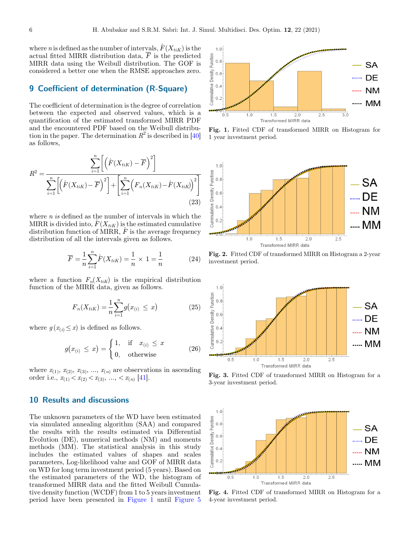<span id="page-5-0"></span>where n is defined as the number of intervals,  $\hat{F}(X_{tiK})$  is the actual fitted MIRR distribution data,  $\overline{F}$  is the predicted MIRR data using the Weibull distribution. The GOF is considered a better one when the RMSE approaches zero.

### 9 Coefficient of determination (R-Square)

The coefficient of determination is the degree of correlation between the expected and observed values, which is a quantification of the estimated transformed MIRR PDF and the encountered PDF based on the Weibull distribution in the paper. The determination  $R^2$  is described in [\[40](#page-8-0)] as follows,

$$
R^{2} = \frac{\sum_{i=1}^{n} \left[ \left( \hat{F}(X_{tik}) - \overline{F} \right)^{2} \right]}{\sum_{i=1}^{n} \left[ \left( \hat{F}(X_{tik}) - \overline{F} \right)^{2} \right] + \left[ \sum_{i=1}^{n} \left( F_{n}(X_{tik}) - \hat{F}(X_{tik}) \right)^{2} \right]}
$$
(23)

where  $n$  is defined as the number of intervals in which the MIRR is divided into,  $F(X_{tik})$  is the estimated cumulative distribution function of MIRR,  $\ddot{F}$  is the average frequency distribution of all the intervals given as follows.

$$
\overline{F} = \frac{1}{n} \sum_{i=1}^{n} \hat{F}(X_{tiK}) = \frac{1}{n} \times 1 = \frac{1}{n}
$$
 (24)

where a function  $F_n(X_{tik})$  is the empirical distribution function of the MIRR data, given as follows.

$$
F_n(X_{tik}) = \frac{1}{n} \sum_{i=1}^n g(x_{(i)} \le x)
$$
 (25)

where  $g(x_{(i)} \leq x)$  is defined as follows.

$$
g(x_{(i)} \leq x) = \begin{cases} 1, & \text{if } x_{(i)} \leq x \\ 0, & \text{otherwise} \end{cases}
$$
 (26)

where  $x_{(1)}$ ,  $x_{(2)}$ ,  $x_{(3)}$ , ...,  $x_{(n)}$  are observations in ascending order i.e.,  $x_{(1)} < x_{(2)} < x_{(3)}$ , ...,  $\lt x_{(n)}$  [\[41](#page-8-0)].

# 10 Results and discussions

The unknown parameters of the WD have been estimated via simulated annealing algorithm (SAA) and compared the results with the results estimated via Differential Evolution (DE), numerical methods (NM) and moments methods (MM). The statistical analysis in this study includes the estimated values of shapes and scales parameters, Log-likelihood value and GOF of MIRR data on WD for long term investment period (5 years). Based on the estimated parameters of the WD, the histogram of transformed MIRR data and the fitted Weibull Cumulative density function (WCDF) from 1 to 5 years investment period have been presented in Figure 1 until [Figure 5](#page-6-0)



Fig. 1. Fitted CDF of transformed MIRR on Histogram for 1 year investment period.



Fig. 2. Fitted CDF of transformed MIRR on Histogram a 2-year investment period.



Fig. 3. Fitted CDF of transformed MIRR on Histogram for a 3-year investment period.



Fig. 4. Fitted CDF of transformed MIRR on Histogram for a 4-year investment period.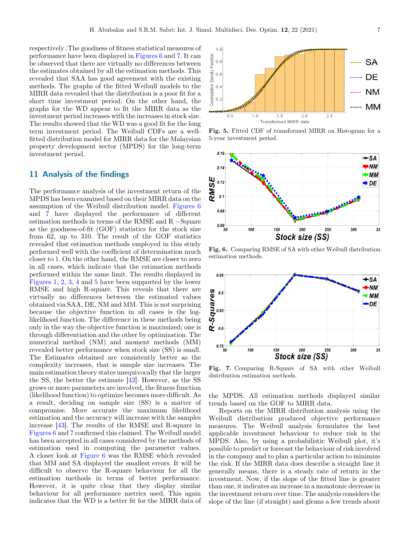<span id="page-6-0"></span>respectively. The goodness of fitness statistical measures of performance have been displayed in Figures 6 and 7. It can be observed that there are virtually no differences between the estimates obtained by all the estimation methods. This revealed that SAA has good agreement with the existing methods. The graphs of the fitted Weibull models to the MIRR data revealed that the distribution is a poor fit for a short time investment period. On the other hand, the graphs for the WD appear to fit the MIRR data as the investment period increases with the increases in stock size. The results showed that the WD was a good fit for the long term investment period. The Weibull CDFs are a wellfitted distribution model for MIRR data for the Malaysian property development sector (MPDS) for the long-term investment period.

#### 11 Analysis of the findings

The performance analysis of the investment return of the MPDS has been examined based on their MIRR data on the assumption of the Weibull distribution model. Figures 6 and 7 have displayed the performance of different estimation methods in terms of the RMSE and  $R$  -Square as the goodness-of-fit (GOF) statistics for the stock size from 62, up to 310. The result of the GOF statistics revealed that estimation methods employed in this study performed well with the coefficient of determination much closer to 1. On the other hand, the RMSE are closer to zero in all cases, which indicate that the estimation methods performed within the same limit. The results displayed in [Figures 1,](#page-5-0) [2](#page-5-0), [3](#page-5-0), [4](#page-5-0) and 5 have been supported by the lower RMSE and high R-square. This reveals that there are virtually no differences between the estimated values obtained via SAA, DE, NM and MM. This is not surprising because the objective function in all cases is the loglikelihood function. The difference in these methods being only in the way the objective function is maximized; one is through differentiation and the other by optimization. The numerical method (NM) and moment methods (MM) revealed better performance when stock size (SS) is small. The Estimates obtained are consistently better as the complexity increases, that is sample size increases. The main estimation theory states unequivocally that the larger the SS, the better the estimate [[42\]](#page-8-0). However, as the SS grows or more parameters are involved, the fitness function (likelihood function) to optimize becomes more difficult. As a result, deciding on sample size (SS) is a matter of compromise. More accurate the maximum likelihood estimation and the accuracy will increase with the samples increase [[43\]](#page-8-0). The results of the RMSE and R-square in Figures 6 and 7 confirmed this claimed. The Weibull model has been accepted in all cases considered by the methods of estimation used in computing the parameter values. A closer look at Figure 6 was the RMSE which revealed that MM and SA displayed the smallest errors. It will be difficult to observe the R-square behaviour for all the estimation methods in terms of better performance. However, it is quite clear that they display similar behaviour for all performance metrics used. This again indicates that the WD is a better fit for the MIRR data of



Fig. 5. Fitted CDF of transformed MIRR on Histogram for a 5-year investment period.



Fig. 6. Comparing RMSE of SA with other Weibull distribution estimation methods.



Fig. 7. Comparing R-Square of SA with other Weibull distribution estimation methods.

the MPDS. All estimation methods displayed similar trends based on the GOF to MIRR data.

Reports on the MIRR distribution analysis using the Weibull distribution produced objective performance measures. The Weibull analysis formulates the best applicable investment behaviour to reduce risk in the MPDS. Also, by using a probabilistic Weibull plot, it's possible to predict or forecast the behaviour of risk involved in the company and to plan a particular action to minimize the risk. If the MIRR data does describe a straight line it generally means, there is a steady rate of return in the investment. Now, if the slope of the fitted line is greater than one, it indicates an increase in a monotonic decrease in the investment return over time. The analysis considers the slope of the line (if straight) and gleans a few trends about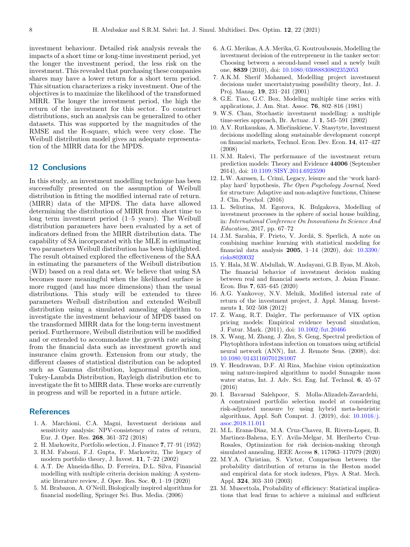<span id="page-7-0"></span>investment behaviour. Detailed risk analysis reveals the impacts of a short time or long-time investment period, yet the longer the investment period, the less risk on the investment. This revealed that purchasing these companies shares may have a lower return for a short term period. This situation characterizes a risky investment. One of the objectives is to maximize the likelihood of the transformed MIRR. The longer the investment period, the high the return of the investment for this sector. To construct distributions, such an analysis can be generalized to other datasets. This was supported by the magnitudes of the RMSE and the R-square, which were very close. The Weibull distribution model gives an adequate representation of the MIRR data for the MPDS.

#### 12 Conclusions

In this study, an investment modelling technique has been successfully presented on the assumption of Weibull distribution in fitting the modified internal rate of return. (MIRR) data of the MPDS. The data have allowed determining the distribution of MIRR from short time to long term investment period (1–5 years). The Weibull distribution parameters have been evaluated by a set of indicators defined from the MIRR distribution data. The capability of SA incorporated with the MLE in estimating two parameters Weibull distribution has been highlighted. The result obtained explored the effectiveness of the SAA in estimating the parameters of the Weibull distribution (WD) based on a real data set. We believe that using SA becomes more meaningful when the likelihood surface is more rugged (and has more dimensions) than the usual distributions. This study will be extended to three parameters Weibull distribution and extended Weibull distribution using a simulated annealing algorithm to investigate the investment behaviour of MPDS based on the transformed MIRR data for the long-term investment period. Furthermore, Weibull distribution will be modified and or extended to accommodate the growth rate arising from the financial data such as investment growth and insurance claim growth. Extension from our study, the different classes of statistical distribution can be adopted such as Gamma distribution, lognormal distribution, Tukey-Lambda Distribution, Rayleigh distribution etc to investigate the fit to MIRR data. These works are currently in progress and will be reported in a future article.

### **References**

- 1. A. Marchioni, C.A. Magni, Investment decisions and sensitivity analysis: NPV-consistency of rates of return, Eur. J. Oper. Res. 268, 361–372 (2018)
- 2. H. Markowitz, Portfolio selection, J. Finance 7, 77–91 (1952)
- 3. H.M. Fabozzi, F.J. Gupta, F. Markowitz, The legacy of modern portfolio theory, J. Invest. 11, 7–22 (2002)
- 4. A.T. De Almeida-filho, D. Ferreira, D.L. Silva, Financial modelling with multiple criteria decision making: A systematic literature review, J. Oper. Res. Soc. 0, 1–19 (2020)
- 5. M. Brabazon, A. O'Neill, Biologically inspired algorithms for financial modelling, Springer Sci. Bus. Media. (2006)
- 6. A.G. Merikas, A.A. Merika, G. Koutroubousis, Modelling the investment decision of the entrepreneur in the tanker sector: Choosing between a second-hand vessel and a newly built one, 8839 (2010), doi: [10.1080/03088830802352053](https://doi.org/10.1080/03088830802352053)
- 7. A.K.M. Sherif Mohamed, Modelling project investment decisions under uncertaintyusing possibility theory, Int. J. Proj. Manag. 19, 231–241 (2001)
- 8. G.E. Tiao, G.C. Box, Modeling multiple time series with applications, J. Am. Stat. Assoc. 76, 802–816 (1981)
- 9. W.S. Chan, Stochastic investment modelling: a multiple time-series approach, Br. Actuar. J. 1, 545–591 (2002)
- 10. A.V. Rutkauskas, A. Miečinskiene, V. Stasytyte, Investment decisions modelling along sustainable development concept on financial markets, Technol. Econ. Dev. Econ. 14, 417–427 (2008)
- 11. N.M. Ralevi, The performance of the investment return prediction models: Theory and Evidence 44006 (September 2014), doi: [10.1109/SISY.2014.6923590](https://doi.org/10.1109/SISY.2014.6923590)
- 12. L.W. Aarssen, L. Crimi, Legacy, leisure and the 'work hardplay hard' hypothesis, The Open Psychology Journal, Need for structure: Adaptive and non-adaptive functions, Chinese J. Clin. Psychol. (2016)
- 13. L. Seliutina, M. Egorova, K. Bulgakova, Modelling of investment processes in the sphere of social house building, in: International Conference On Innovations In Science And Education, 2017, pp. 67–72
- 14. J.M. Sarabia, F. Prieto, V. Jordá, S. Sperlich, A note on combining machine learning with statistical modeling for financial data analysis 2005, 1–14 (2020), doi: [10.3390/](https://doi.org/10.3390/risks8020032) [risks8020032](https://doi.org/10.3390/risks8020032)
- 15. Y. Hala, M.W. Abdullah, W. Andayani, G.B. Ilyas, M. Akob, The financial behavior of investment decision making between real and financial assets sectors, J. Asian Financ. Econ. Bus 7, 635–645 (2020)
- 16. A.G. Yankovoy, N.V. Melnik, Modified internal rate of return of the investment project, J. Appl. Manag. Investments 1, 502–508 (2012)
- 17. Z. Wang, R.T. Daigler, The performance of VIX option pricing models: Empirical evidence beyond simulation, J. Futur. Mark. (2011), doi: [10.1002/fut.20466](https://doi.org/10.1002/fut.20466)
- 18. X. Wang, M. Zhang, J. Zhu, S. Geng, Spectral prediction of Phytophthora infestans infection on tomatoes using artificial neural network (ANN), Int. J. Remote Sens. (2008), doi: [10.1080/01431160701281007](https://doi.org/10.1080/01431160701281007)
- 19. Y. Hendrawan, D.F. Al Riza, Machine vision optimization using nature-inspired algorithms to model Sunagoke moss water status, Int. J. Adv. Sci. Eng. Inf. Technol. 6, 45–57 (2016)
- 20. I. Bavarsad Salehpoor, S. Molla-Alizadeh-Zavardehi, A constrained portfolio selection model at considering risk-adjusted measure by using hybrid meta-heuristic algorithms, Appl. Soft Comput. J. (2019), doi: [10.1016/j.](https://doi.org/10.1016/j.asoc.2018.11.011) [asoc.2018.11.011](https://doi.org/10.1016/j.asoc.2018.11.011)
- 21. M.L. Erana-Diaz, M.A. Cruz-Chavez, R. Rivera-Lopez, B. Martinez-Bahena, E.Y. Avila-Melgar, M. Heriberto Cruz-Rosales, Optimization for risk decision-making through simulated annealing, IEEE Access 8, 117063–117079 (2020)
- 22. M.Y.A. Christian, S. Victor, Comparison between the probability distribution of returns in the Heston model and empirical data for stock indexes, Phys. A Stat. Mech. Appl. 324, 303–310 (2003)
- 23. M. Muscettola, Probability of efficiency: Statistical implications that lead firms to achieve a minimal and sufficient